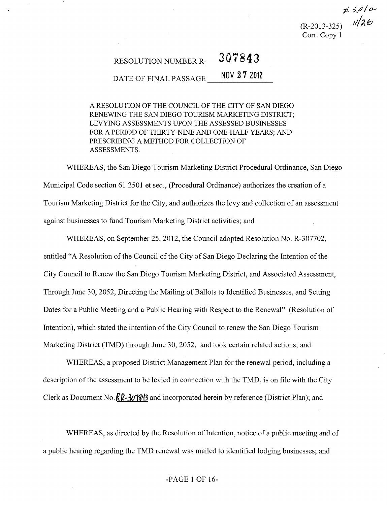$\#$  de/a  $1/26$ (R-2013-325) Corr. Copy 1

# **RESOLUTION NUMBER R- 307843**  DATE OF FINAL PASSAGE **NOV 27 2012**

A RESOLUTION OF THE COUNCIL OF THE CITY OF SAN DIEGO RENEWING THE SAN DIEGO TOURISM MARKETING DISTRICT; LEVYING ASSESSMENTS UPON THE ASSESSED BUSINESSES FOR A PERIOD OF THIRTY-NINE AND ONE-HALF YEARS; AND PRESCRIBING A METHOD FOR COLLECTION OF ASSESSMENTS.

WHEREAS, the San Diego Tourism Marketing District Procedural Ordinance, San Diego Municipal Code section 61.2501 et seq., (Procedural Ordinance) authorizes the creation of a Tourism Marketing District for the City, and authorizes the levy and collection of an assessment against businesses to fund Tourism Marketing District activities; and

WHEREAS, on September 25, 2012, the Council adopted Resolution No. R-307702, entitled "A Resolution of the Council of the City of San Diego Declaring the Intention of the City Council to Renew the San Diego Tourism Marketing District, and Associated Assessment, Through June 30, 2052, Directing the Mailing of Ballots to Identified Businesses, and Setting Dates for a Public Meeting and a Public Hearing with Respect to the Renewal" (Resolution of Intention), which stated the intention of the City Council to renew the San Diego Tourism Marketing District (TMD) through June 30, 2052, and took certain related actions; and

WHEREAS, a proposed District Management Plan for the renewal period, including a description of the assessment to be levied in connection with the TMD, is on file with the City Clerk as Document No.  $R\&\cdot\frac{3}{9}\%$  and incorporated herein by reference (District Plan); and

WHEREAS, as directed by the Resolution of Intention, notice of a public meeting and of a public hearing regarding the TMD renewal was mailed to identified lodging businesses; and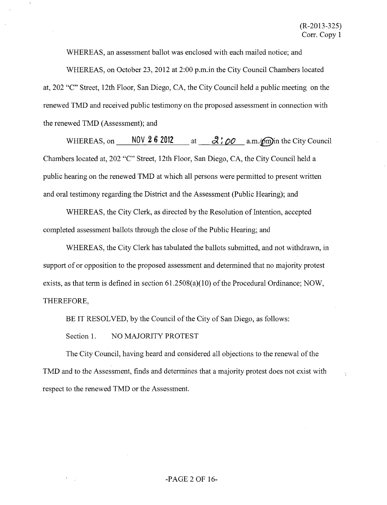WHEREAS, an assessment ballot was enclosed with each mailed notice; and

WHEREAS, on October 23, 2012 at 2:00 p.m.in the City Council Chambers located at, 202 "C" Street, 12th Floor, San Diego, CA, the City Council held a public meeting on the renewed TMD and received public testimony on the proposed assessment in connection with the renewed TMD (Assessment); and

WHEREAS, on NOV 2 6 2012 at  $\alpha$ ,  $\partial$ ,  $\partial$  a.m./ $\partial$ m) in the City Council Chambers located at, 202 "C" Street, 12th Floor, San Diego, CA, the City Council held a public hearing on the renewed TMD at which all persons were permitted to present written and oral testimony regarding the District and the Assessment (Public Hearing); and

WHEREAS, the City Clerk, as directed by the Resolution of Intention, accepted completed assessment ballots through the close of the Public Hearing; and

WHEREAS, the City Clerk has tabulated the ballots submitted, and not withdrawn, in support of or opposition to the proposed assessment and determined that no majority protest exists, as that term is defined in section 61.2508(a)(10) of the Procedural Ordinance; NOW, THEREFORE,

BE IT RESOLVED, by the Council of the City of San Diego, as follows:

Section 1. NO MAJORITY PROTEST

The City Council, having heard and considered all objections to the renewal of the TMD and to the Assessment, finds and determines that a majority protest does not exist with respect to the renewed TMD or the Assessment.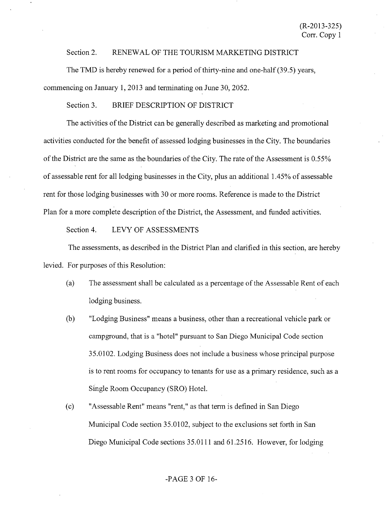## Section 2. RENEWAL OF THE TOURISM MARKETING DISTRICT

The TMD is hereby renewed for a period of thirty-nine and one-half (39.5) years, commencing on January 1, 2013 and terminating on June 30, 2052.

## Section 3. BRIEF DESCRIPTION OF DISTRICT

The activities of the District can be generally described as marketing and promotional activities conducted for the benefit of assessed lodging businesses in the City. The boundaries of the District are the same as the boundaries of the City. The rate of the Assessment is 0.55% of assessable rent for all lodging businesses in the City, plus an additional 1.45% of assessable rent for those lodging businesses with 30 or more rooms. Reference is made to the District Plan for a more complete description of the District, the Assessment, and funded activities.

## Section 4. LEVY OF ASSESSMENTS

The assessments, as described in the District Plan and clarified in this section, are hereby levied. For purposes of this Resolution:

- (a) The assessment shall be calculated as a percentage of the Assessable Rent of each lodging business.
- (b) "Lodging Business" means a business, other than a recreational vehicle park or campground, that is a "hotel" pursuant to San Diego Municipal Code section 35.0102. Lodging Business does not include a business whose principal purpose is to rent rooms for occupancy to tenants for use as a primary residence, such as a Single Room Occupancy (SRO) Hotel.
- (c) "Assessable Rent" means "rent," as that term is defined in San Diego Municipal Code section 35.0102, subject to the exclusions set forth in San Diego Municipal Code sections 35.0111 and 61.2516. However, for lodging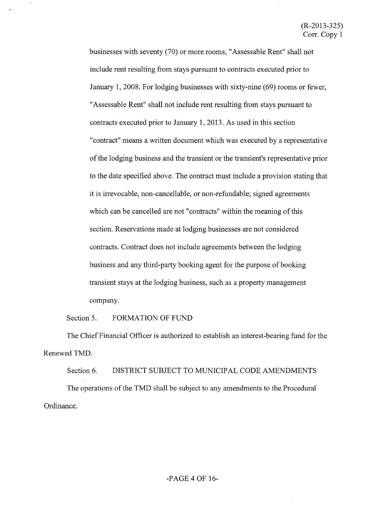businesses with seventy (70) or more rooms, "Assessable Rent" shall not include rent resulting from stays pursuant to contracts executed prior to January 1, 2008. For lodging businesses with sixty-nine (69) rooms or fewer, "Assessable Rent" shall not include rent resulting from stays pursuant to contracts executed prior to January 1, 2013. As used in this section "contract" means a written document which was executed by a representative of the lodging business and the transient or the transient's representative prior to the date specified above. The contract must include a provision stating that it is irrevocable, non-cancellable, or non-refimdable; signed agreements which can be cancelled are not "contracts" within the meaning of this section. Reservations made at lodging businesses are not considered contracts. Contract does not include agreements between the lodging business and any third-party booking agent for the purpose of booking transient stays at the lodging business, such as a property management company.

#### Section 5. FORMATION OF FUND

 $\Delta$ 

The Chief Financial Officer is authorized to establish an interest-bearing fund for the Renewed TMD.

Section 6. DISTRICT SUBJECT TO MUNICIPAL CODE AMENDMENTS The operations of the TMD shall be subject to any amendments to the Procedural Ordinance.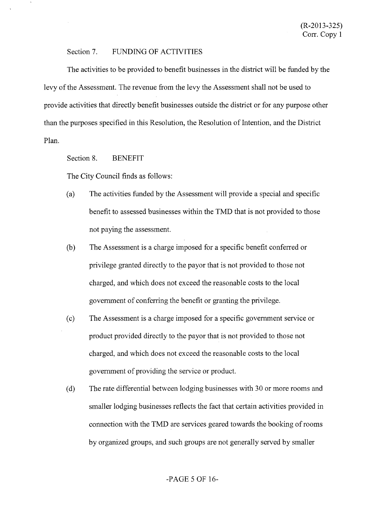#### Section 7. FUNDING OF ACTIVITIES

The activities to be provided to benefit businesses in the district will be funded by the levy of the Assessment. The revenue from the levy the Assessment shall not be used to provide activities that directly benefit businesses outside the district or for any purpose other than the purposes specified in this Resolution, the Resolution of Intention, and the District Plan.

Section 8. BENEFIT

 $\bar{\mathbf{r}}$ 

The City Council finds as follows:

- (a) The activities funded by the Assessment will provide a special and specific benefit to assessed businesses within the TMD that is not provided to those not paying the assessment.
- (b) The Assessment is a charge imposed for a specific benefit conferred or privilege granted directly to the payor that is not provided to those not charged, and which does not exceed the reasonable costs to the local government of conferring the benefit or granting the privilege.
- (c) The Assessment is a charge imposed for a specific government service or product provided directly to the payor that is not provided to those not charged, and which does not exceed the reasonable costs to the local government of providing the service or product.
- (d) The rate differential between lodging businesses with 30 or more rooms and smaller lodging businesses reflects the fact that certain activities provided in connection with the TMD are services geared towards the booking of rooms by organized groups, and such groups are not generally served by smaller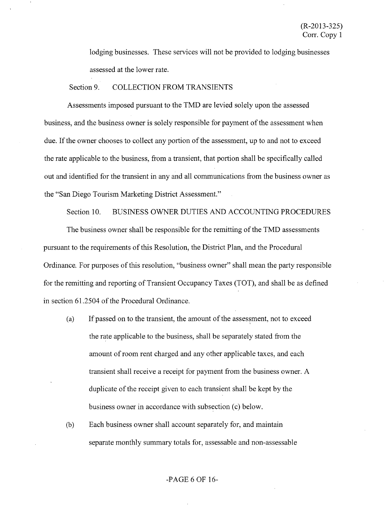lodging businesses. These services will not be provided to lodging businesses assessed at the lower rate.

## Section 9. COLLECTION FROM TRANSIENTS

Assessments imposed pursuant to the TMD are levied solely upon the assessed business, and the business owner is solely responsible for payment of the assessment when due. If the owner chooses to collect any portion of the assessment, up to and not to exceed the rate applicable to the business, from a transient, that portion shall be specifically called out and identified for the transient in any and all communications from the business owner as the "San Diego Tourism Marketing District Assessment."

#### Section 10. BUSINESS OWNER DUTIES AND ACCOUNTING PROCEDURES

The business owner shall be responsible for the remitting of the TMD assessments pursuant to the requirements of this Resolution, the District Plan, and the Procedural Ordinance. For purposes of this resolution, "business owner" shall mean the party responsible for the remitting and reporting of Transient Occupancy Taxes (TOT), and shall be as defined in section 61.2504 of the Procedural Ordinance.

- (a) If passed on to the transient, the amount of the assessment, not to exceed the rate applicable to the business, shall be separately stated from the amount of room rent charged and any other applicable taxes, and each transient shall receive a receipt for payment from the business owner. A duplicate of the receipt given to each transient shall be kept by the business owner in accordance with subsection (c) below.
- (b) Each business owner shall account separately for, and maintain separate monthly summary totals for, assessable and non-assessable

#### -PAGE 6 OF 16-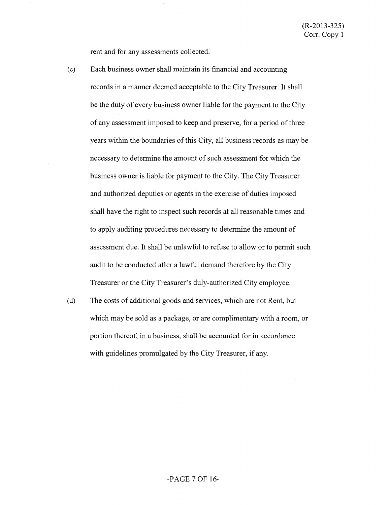rent and for any assessments collected.

- (c) Each business owner shall maintain its financial and accounting records in a manner deemed acceptable to the City Treasurer. It shall be the duty of every business owner liable for the payment to the City of any assessment imposed to keep and preserve, for a period of three years within the boundaries of this City, all business records as may be necessary to determine the amount of such assessment for which the business owner is liable for payment to the City. The City Treasurer and authorized deputies or agents in the exercise of duties imposed shall have the right to inspect such records at all reasonable times and to apply auditing procedures necessary to determine the amount of assessment due. It shall be unlawful to refuse to allow or to permit such audit to be conducted after a lawfiil demand therefore by the City Treasurer or the City Treasurer's duly-authorized City employee.
- (d) The costs of additional goods and services, which are not Rent, but which may be sold as a package, or are complimentary with a room, or portion thereof, in a business, shall be accounted for in accordance with guidelines promulgated by the City Treasurer, if any.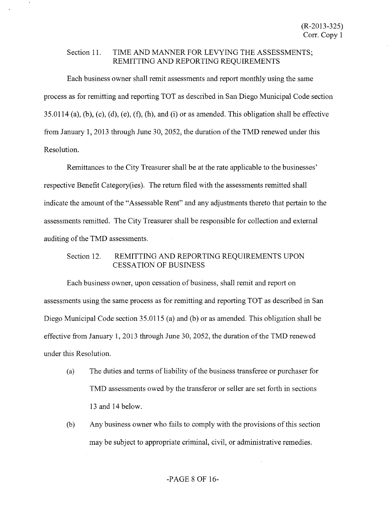## Section 11. TIME AND MANNER FOR LEVYING THE ASSESSMENTS; REMITTING AND REPORTING REQUIREMENTS

Each business owner shall remit assessments and report monthly using the same process as for remitting and reporting TOT as described in San Diego Municipal Code section  $35.0114$  (a), (b), (c), (d), (e), (f), (h), and (i) or as amended. This obligation shall be effective from January 1, 2013 through June 30, 2052, the duration of the TMD renewed under this Resolution.

Remittances to the City Treasurer shall be at the rate applicable to the businesses' respective Benefit Category(ies). The return filed with the assessments remitted shall indicate the amount of the "Assessable Rent" and any adjustments thereto that pertain to the assessments remitted. The City Treasurer shall be responsible for collection and external auditing of the TMD assessments.

## Section 12. REMITTING AND REPORTING REQUIREMENTS UPON CESSATION OF BUSINESS

Each business owner, upon cessation of business, shall remit and report on assessments using the same process as for remitting and reporting TOT as described in San Diego Municipal Code section 35.0115 (a) and (b) or as amended. This obligation shall be effective from January 1, 2013 through June 30, 2052, the duration of the TMD renewed under this Resolution.

- (a) The duties and terms of liability of the business transferee or purchaser for TMD assessments owed by the transferor or seller are set forth in sections 13 and 14 below.
- (b) Any business owner who fails to comply with the provisions of this section may be subject to appropriate criminal, civil, or administrative remedies.

## -PAGE 8 OF 16-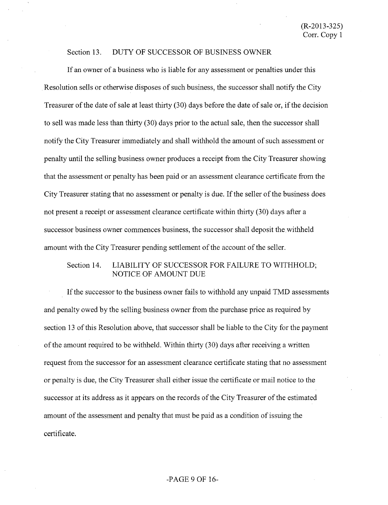## Section 13. DUTY OF SUCCESSOR OF BUSINESS OWNER

If an owner of a business who is liable for any assessment or penalties under this Resolution sells or otherwise disposes of such business, the successor shall notify the City Treasurer of the date of sale at least thirty (30) days before the date of sale or, if the decision to sell was made less than thirty (30) days prior to the actual sale, then the successor shall notify the City Treasurer immediately and shall withhold the amount of such assessment or penalty until the selling business owner produces a receipt from the City Treasurer showing that the assessment or penalty has been paid or an assessment clearance certificate from the City Treasurer stating that no assessment or penalty is due. If the seller of the business does not present a receipt or assessment clearance certificate within thirty (30) days after a successor business owner commences business, the successor shall deposit the withheld amount with the City Treasurer pending settlement of the account of the seller.

## Section 14. LIABILITY OF SUCCESSOR FOR FAILURE TO WITHHOLD; NOTICE OF AMOUNT DUE

If the successor to the business owner fails to withhold any unpaid TMD assessments and penalty owed by the selling business owner from the purchase price as required by section 13 of this Resolution above, that successor shall be liable to the City for the payment of the amount required to be withheld. Within thirty (30) days after receiving a written request from the successor for an assessment clearance certificate stating that no assessment or penalty is due, the City Treasurer shall either issue the certificate or mail notice to the successor at its address as it appears on the records of the City Treasurer of the estimated amount of the assessment and penalty that must be paid as a condition of issuing the certificate.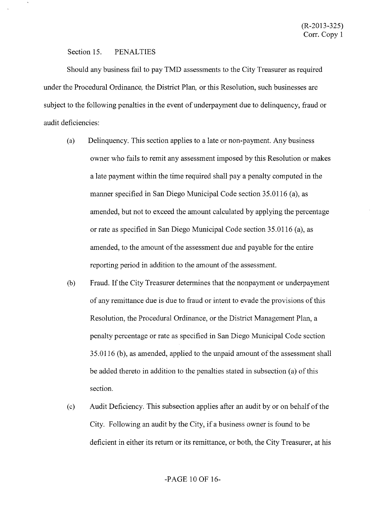#### Section 15. PENALTIES

Should any business fail to pay TMD assessments to the City Treasurer as required under the Procedural Ordinance, the District Plan, or this Resolution, such businesses are subject to the following penalties in the event of underpayment due to delinquency, fraud or audit deficiencies:

- (a) Delinquency. This section applies to a late or non-payment. Any business owner who fails to remit any assessment imposed by this Resolution or makes a late payment within the time required shall pay a penalty computed in the manner specified in San Diego Municipal Code section 35.0116 (a), as amended, but not to exceed the amount calculated by applying the percentage or rate as specified in San Diego Municipal Code section 35.0116 (a), as amended, to the amount of the assessment due and payable for the entire reporting period in addition to the amount of the assessment.
- (b) Fraud. If the City Treasurer determines that the nompayment or underpayment of any remittance due is due to fraud or intent to evade the provisions of this Resolution, the Procedural Ordinance, or the District Management Plan, a penalty percentage or rate as specified in San Diego Municipal Code section 35.0116 (b), as amended, applied to the unpaid amount of the assessment shall be added thereto in addition to the penalties stated in subsection (a) of this section.
- (c) Audit Deficiency. This subsection applies after an audit by or on behalf of the City. Following an audit by the City, if a business owner is found to be deficient in either its return or its remittance, or both, the City Treasurer, at his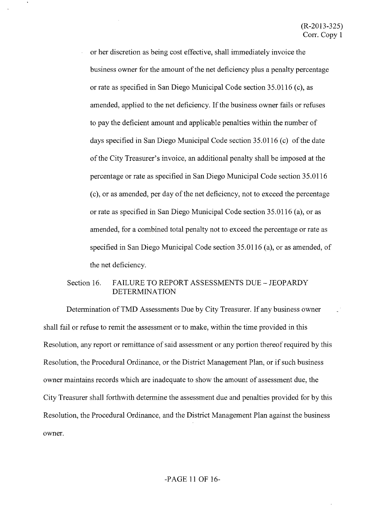or her discretion as being cost effective, shall immediately invoice the business owner for the amount of the net deficiency plus a penalty percentage or rate as specified in San Diego Municipal Code section 35.0116 (c), as amended, applied to the net deficiency. If the business owner fails or refiases to pay the deficient amount and applicable penalties within the number of days specified in San Diego Municipal Code section 35.0116 (c) of the date of the City Treasurer's invoice, an additional penalty shall be imposed at the percentage or rate as specified in San Diego Municipal Code section 35.0116 (c), or as amended, per day of the net deficiency, not to exceed the percentage or rate as specified in San Diego Municipal Code section 35.0116 (a), or as amended, for a combined total penalty not to exceed the percentage or rate as specified in San Diego Municipal Code section 35.0116 (a), or as amended, of the net deficiency.

 $\cdot$ 

## Section 16. FAILURE TO REPORT ASSESSMENTS DUE - JEOPARDY DETERMINATION

Determination of TMD Assessments Due by City Treasurer. If any business owner shall fail or refuse to remit the assessment or to make, within the time provided in this Resolution, any report or remittance of said assessment or any portion thereof required by this Resolution, the Procedural Ordinance, or the District Management Plan, or if such business owner maintains records which are inadequate to show the amount of assessment due, the City Treasurer shall forthwith detennine the assessment due and penalties provided for by this Resolution, the Procedural Ordinance, and the District Management Plan against the business owner.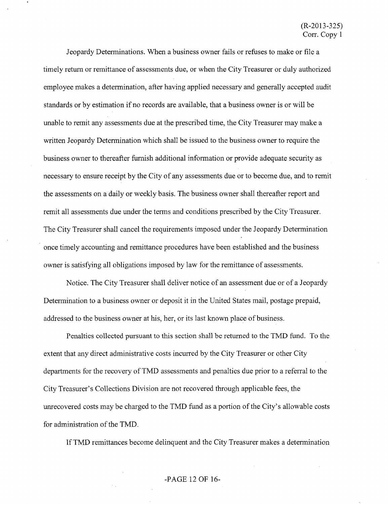Jeopardy Determinations. When a business owner fails or refuses to make or file a timely return or remittance of assessments due, or when the City Treasurer or duly authorized employee makes a determination, after having applied necessary and generally accepted audit standards or by estimation if no records are available, that a business owner is or will be unable to remit any assessments due at the prescribed time, the City Treasurer may make a written Jeopardy Determination which shall be issued to the business owner to require the business owner to thereafter furnish additional information or provide adequate security as necessary to ensure receipt by the City of any assessments due or to become due, and to remit the assessments on a daily or weekly basis. The business owner shall thereafter report and remit all assessments due under the terms and conditions prescribed by the City Treasurer. The City Treasurer shall cancel the requirements imposed under the Jeopardy Determination once timely accounting and remittance procedures have been established and the business owner is satisfying all obligations imposed by law for the remittance of assessments.

Notice. The City Treasurer shall deliver notice of an assessment due or of a Jeopardy Determination to a business owner or deposit it in the United States mail, postage prepaid, addressed to the business owner at his, her, or its last known place of business.

Penalties collected pursuant to this section shall be returned to the TMD fund. To the extent that any direct administrative costs incurred by the City Treasurer or other City departments for the recovery of TMD assessments and penalties due prior to a referral to the City Treasurer's Collections Division are not recovered through applicable fees, the unrecovered costs may be charged to the TMD fund as a portion of the City's allowable costs for administration of the TMD.

If TMD remittances become delinquent and the City Treasurer makes a determination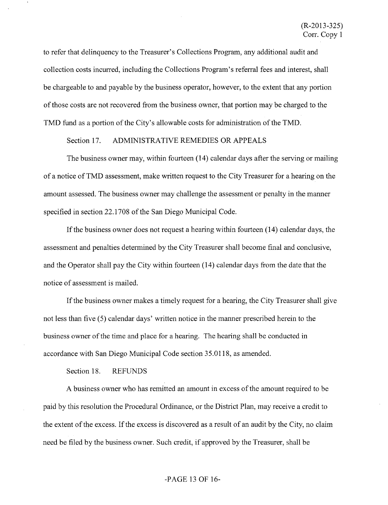to refer that delinquency to the Treasurer's Collections Program, any additional audit and collection costs incurred, including the Collections Program's referral fees and interest, shall be chargeable to and payable by the business operator, however, to the extent that any portion of those costs are not recovered from the business owner, that portion may be charged to the TMD fund as a portion of the City's allowable costs for administration of the TMD.

#### Section 17. ADMINISTRATIVE REMEDIES OR APPEALS

The business owner may, within fourteen (14) calendar days after the serving or mailing of a notice of TMD assessment, make written request to the City Treasurer for a hearing on the amount assessed. The business owner may challenge the assessment or penalty in the manner specified in section 22.1708 of the San Diego Municipal Code.

If the business owner does not request a hearing within fourteen (14) calendar days, the assessment and penalties determined by the City Treasurer shall become final and conclusive, and the Operator shall pay the City within fourteen (14) calendar days from the date that the notice of assessment is mailed.

If the business owner makes a timely request for a hearing, the City Treasurer shall give not less than five (5) calendar days' written notice in the manner prescribed herein to the business owner of the time and place for a hearing. The hearing shall be conducted in accordance with San Diego Municipal Code section 35.0118, as amended.

Section 18. REFUNDS

A business owner who has remitted an amount in excess of the amount required to be paid by this resolution the Procedural Ordinance, or the District Plan, may receive a credit to the extent of the excess. If the excess is discovered as a result of an audit by the City, no claim need be filed by the business owner. Such credit, if approved by the Treasurer, shall be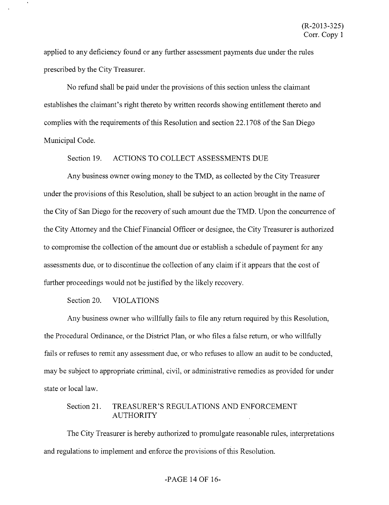applied to any deficiency found or any further assessment payments due under the rules prescribed by the City Treasurer.

No refimd shall be paid under the provisions of this section unless the claimant establishes the claimant's right thereto by written records showing entitlement thereto and complies with the requirements of this Resolution and section 22.1708 of the San Diego Municipal Code.

## Section 19. ACTIONS TO COLLECT ASSESSMENTS DUE

Any business owner owing money to the TMD, as collected by the City Treasurer under the provisions of this Resolution, shall be subject to an action brought in the name of the City of San Diego for the recovery of such amount due the TMD. Upon the concurrence of the City Attorney and the Chief Financial Officer or designee, the City Treasurer is authorized to compromise the collection of the amount due or establish a schedule of payment for any assessments due, or to discontinue the collection of any claim if it appears that the cost of further proceedings would not be justified by the likely recovery.

## Section 20. VIOLATIONS

 $\Delta$ 

Any business owner who willfully fails to file any return required by this Resolution, the Procedural Ordinance, or the District Plan, or who files a false return, or who willfiilly fails or reftases to remit any assessment due, or who refuses to allow an audit to be conducted, may be subject to appropriate criminal, civil, or administrative remedies as provided for under state or local law.

## Section 21. TREASURER'S REGULATIONS AND ENFORCEMENT AUTHORITY

The City Treasurer is hereby authorized to promulgate reasonable rules, interpretations and regulations to implement and enforce the provisions of this Resolution.

## -PAGE 14 OF 16-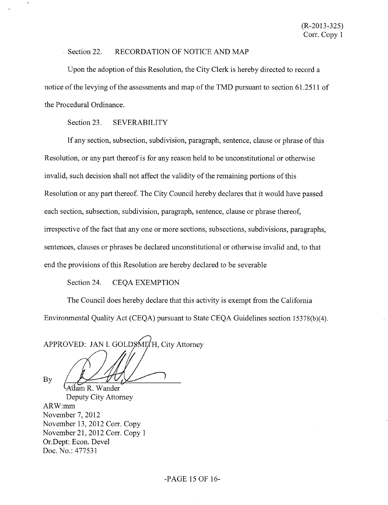## Section 22. RECORDATION OF NOTICE AND MAP

Upon the adoption of this Resolution, the City Clerk is hereby directed to record a notice of the levying of the assessments and map of the TMD pursuant to section 61.2511 of the Procedural Ordinance.

### Section 23. SEVERABILITY

If any section, subsection, subdivision, paragraph, sentence, clause or phrase of this Resolution, or any part thereof is for any reason held to be unconstitutional or otherwise invalid, such decision shall not affect the validity of the remaining portions of this Resolution or any part thereof. The City Council hereby declares that it would have passed each section, subsection, subdivision, paragraph, sentence, clause or phrase thereof, irrespective of the fact that any one or more sections, subsections, subdivisions, paragraphs, sentences, clauses or phrases be declared unconstitutional or otherwise invalid and, to that end the provisions of this Resolution are hereby declared to be severable

Section 24. CEQA EXEMPTION

The Council does hereby declare that this activity is exempt from the Califomia Environmental Quality Act (CEQA) pursuant to State CEQA Guidelines section 15378(b)(4).

APPROVED: JAN I. GOLDSMITH, City Attorney

By

'-A'dam R. Wander Deputy City Attomey ARW:mm November 7, 2012 November 13, 2012 Corr. Copy November 21, 2012 Corr. Copy 1 Or.Dept: Econ. Devel Doc. No.: 477531